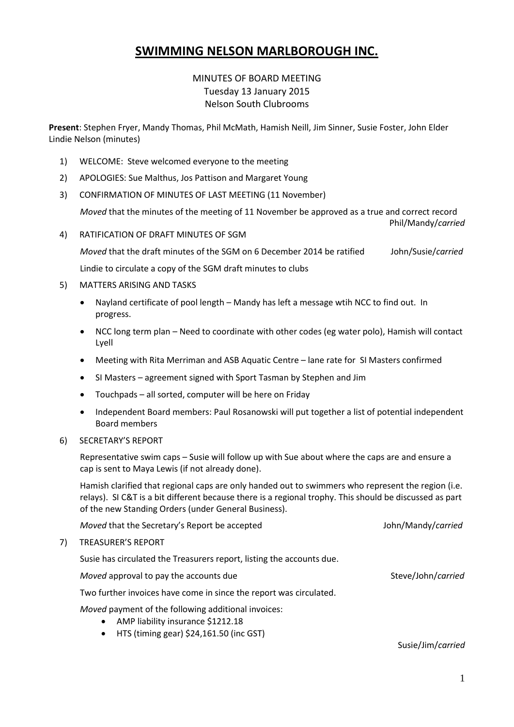# **SWIMMING NELSON MARLBOROUGH INC.**

# MINUTES OF BOARD MEETING Tuesday 13 January 2015 Nelson South Clubrooms

**Present**: Stephen Fryer, Mandy Thomas, Phil McMath, Hamish Neill, Jim Sinner, Susie Foster, John Elder Lindie Nelson (minutes)

- 1) WELCOME: Steve welcomed everyone to the meeting
- 2) APOLOGIES: Sue Malthus, Jos Pattison and Margaret Young
- 3) CONFIRMATION OF MINUTES OF LAST MEETING (11 November)

*Moved* that the minutes of the meeting of 11 November be approved as a true and correct record

Phil/Mandy/*carried*

4) RATIFICATION OF DRAFT MINUTES OF SGM

*Moved* that the draft minutes of the SGM on 6 December 2014 be ratified John/Susie/*carried* Lindie to circulate a copy of the SGM draft minutes to clubs

#### 5) MATTERS ARISING AND TASKS

- Nayland certificate of pool length Mandy has left a message wtih NCC to find out. In progress.
- NCC long term plan Need to coordinate with other codes (eg water polo), Hamish will contact Lyell
- Meeting with Rita Merriman and ASB Aquatic Centre lane rate for SI Masters confirmed
- SI Masters agreement signed with Sport Tasman by Stephen and Jim
- Touchpads all sorted, computer will be here on Friday
- Independent Board members: Paul Rosanowski will put together a list of potential independent Board members
- 6) SECRETARY'S REPORT

Representative swim caps – Susie will follow up with Sue about where the caps are and ensure a cap is sent to Maya Lewis (if not already done).

Hamish clarified that regional caps are only handed out to swimmers who represent the region (i.e. relays). SI C&T is a bit different because there is a regional trophy. This should be discussed as part of the new Standing Orders (under General Business).

|    | Moved that the Secretary's Report be accepted                         | John/Mandy/carried |
|----|-----------------------------------------------------------------------|--------------------|
| 7) | <b>TREASURER'S REPORT</b>                                             |                    |
|    | Susie has circulated the Treasurers report, listing the accounts due. |                    |
|    | Moved approval to pay the accounts due                                | Steve/John/carried |
|    | Two further invoices have come in since the report was circulated.    |                    |

*Moved* payment of the following additional invoices:

- AMP liability insurance \$1212.18
- HTS (timing gear) \$24,161.50 (inc GST)

Susie/Jim/*carried*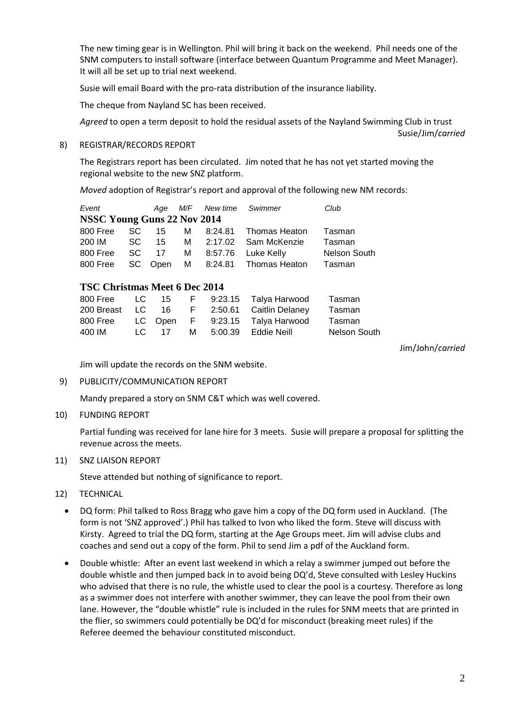The new timing gear is in Wellington. Phil will bring it back on the weekend. Phil needs one of the SNM computers to install software (interface between Quantum Programme and Meet Manager). It will all be set up to trial next weekend.

Susie will email Board with the pro-rata distribution of the insurance liability.

The cheque from Nayland SC has been received.

*Agreed* to open a term deposit to hold the residual assets of the Nayland Swimming Club in trust Susie/Jim/*carried*

#### 8) REGISTRAR/RECORDS REPORT

The Registrars report has been circulated. Jim noted that he has not yet started moving the regional website to the new SNZ platform.

*Moved* adoption of Registrar's report and approval of the following new NM records:

| Event                       |  |  | Age M/F New time Swimmer |  | Club                                     |                     |  |  |  |  |  |
|-----------------------------|--|--|--------------------------|--|------------------------------------------|---------------------|--|--|--|--|--|
| NSSC Young Guns 22 Nov 2014 |  |  |                          |  |                                          |                     |  |  |  |  |  |
|                             |  |  |                          |  | 800 Free SC 15 M 8:24.81 Thomas Heaton   | Tasman              |  |  |  |  |  |
|                             |  |  |                          |  | 200 IM SC 15 M 2:17.02 Sam McKenzie      | Tasman              |  |  |  |  |  |
|                             |  |  |                          |  | 800 Free SC 17 M 8:57.76 Luke Kelly      | <b>Nelson South</b> |  |  |  |  |  |
|                             |  |  |                          |  | 800 Free SC Open M 8:24.81 Thomas Heaton | Tasman              |  |  |  |  |  |

# **TSC Christmas Meet 6 Dec 2014**

| 800 Free LC 15 |  |  | F 9:23.15 Talya Harwood                    | Tasman       |
|----------------|--|--|--------------------------------------------|--------------|
|                |  |  | 200 Breast LC 16 F 2:50.61 Caitlin Delaney | Tasman       |
|                |  |  | 800 Free LC Open F 9:23.15 Talya Harwood   | Tasman       |
| 400 IM -       |  |  | LC 17 M 5:00.39 Eddie Neill                | Nelson South |
|                |  |  |                                            |              |

Jim/John/*carried*

Jim will update the records on the SNM website.

9) PUBLICITY/COMMUNICATION REPORT

Mandy prepared a story on SNM C&T which was well covered.

10) FUNDING REPORT

Partial funding was received for lane hire for 3 meets. Susie will prepare a proposal for splitting the revenue across the meets.

11) SNZ LIAISON REPORT

Steve attended but nothing of significance to report.

- 12) TECHNICAL
	- DQ form: Phil talked to Ross Bragg who gave him a copy of the DQ form used in Auckland. (The form is not 'SNZ approved'.) Phil has talked to Ivon who liked the form. Steve will discuss with Kirsty. Agreed to trial the DQ form, starting at the Age Groups meet. Jim will advise clubs and coaches and send out a copy of the form. Phil to send Jim a pdf of the Auckland form.
	- Double whistle: After an event last weekend in which a relay a swimmer jumped out before the double whistle and then jumped back in to avoid being DQ'd, Steve consulted with Lesley Huckins who advised that there is no rule, the whistle used to clear the pool is a courtesy. Therefore as long as a swimmer does not interfere with another swimmer, they can leave the pool from their own lane. However, the "double whistle" rule is included in the rules for SNM meets that are printed in the flier, so swimmers could potentially be DQ'd for misconduct (breaking meet rules) if the Referee deemed the behaviour constituted misconduct.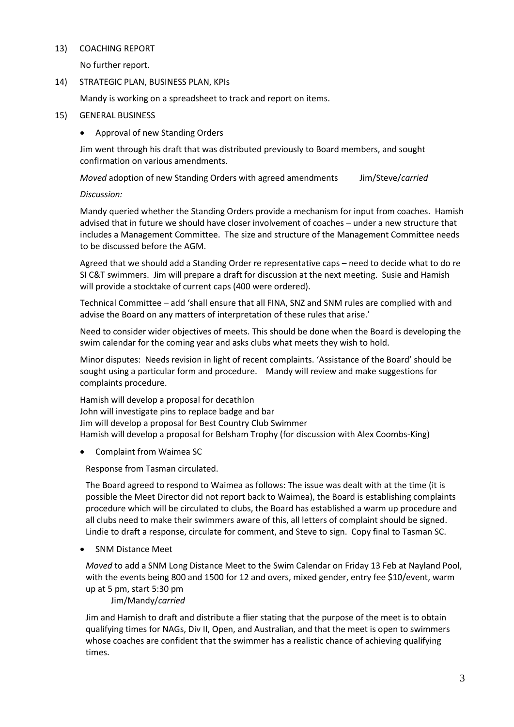#### 13) COACHING REPORT

No further report.

# 14) STRATEGIC PLAN, BUSINESS PLAN, KPIs

Mandy is working on a spreadsheet to track and report on items.

# 15) GENERAL BUSINESS

Approval of new Standing Orders

Jim went through his draft that was distributed previously to Board members, and sought confirmation on various amendments.

*Moved* adoption of new Standing Orders with agreed amendments Jim/Steve/*carried*

# *Discussion:*

Mandy queried whether the Standing Orders provide a mechanism for input from coaches. Hamish advised that in future we should have closer involvement of coaches – under a new structure that includes a Management Committee. The size and structure of the Management Committee needs to be discussed before the AGM.

Agreed that we should add a Standing Order re representative caps – need to decide what to do re SI C&T swimmers. Jim will prepare a draft for discussion at the next meeting. Susie and Hamish will provide a stocktake of current caps (400 were ordered).

Technical Committee – add 'shall ensure that all FINA, SNZ and SNM rules are complied with and advise the Board on any matters of interpretation of these rules that arise.'

Need to consider wider objectives of meets. This should be done when the Board is developing the swim calendar for the coming year and asks clubs what meets they wish to hold.

Minor disputes: Needs revision in light of recent complaints. 'Assistance of the Board' should be sought using a particular form and procedure. Mandy will review and make suggestions for complaints procedure.

Hamish will develop a proposal for decathlon John will investigate pins to replace badge and bar Jim will develop a proposal for Best Country Club Swimmer Hamish will develop a proposal for Belsham Trophy (for discussion with Alex Coombs-King)

Complaint from Waimea SC

Response from Tasman circulated.

The Board agreed to respond to Waimea as follows: The issue was dealt with at the time (it is possible the Meet Director did not report back to Waimea), the Board is establishing complaints procedure which will be circulated to clubs, the Board has established a warm up procedure and all clubs need to make their swimmers aware of this, all letters of complaint should be signed. Lindie to draft a response, circulate for comment, and Steve to sign. Copy final to Tasman SC.

SNM Distance Meet

*Moved* to add a SNM Long Distance Meet to the Swim Calendar on Friday 13 Feb at Nayland Pool, with the events being 800 and 1500 for 12 and overs, mixed gender, entry fee \$10/event, warm up at 5 pm, start 5:30 pm

Jim/Mandy/*carried*

Jim and Hamish to draft and distribute a flier stating that the purpose of the meet is to obtain qualifying times for NAGs, Div II, Open, and Australian, and that the meet is open to swimmers whose coaches are confident that the swimmer has a realistic chance of achieving qualifying times.